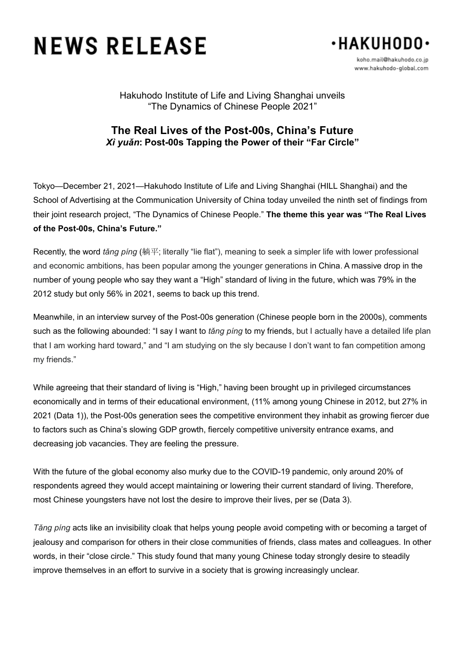# **NEWS RELEASE**



koho.mail@hakuhodo.co.ip www.hakuhodo-global.com

Hakuhodo Institute of Life and Living Shanghai unveils "The Dynamics of Chinese People 2021"

## **The Real Lives of the Post-00s, China's Future** *Xì yuǎn***: Post-00s Tapping the Power of their "Far Circle"**

Tokyo—December 21, 2021—Hakuhodo Institute of Life and Living Shanghai (HILL Shanghai) and the School of Advertising at the Communication University of China today unveiled the ninth set of findings from their joint research project, "The Dynamics of Chinese People." **The theme this year was "The Real Lives of the Post-00s, China's Future."**

Recently, the word *tǎng píng* (躺平; literally "lie flat"), meaning to seek a simpler life with lower professional and economic ambitions, has been popular among the younger generations in China. A massive drop in the number of young people who say they want a "High" standard of living in the future, which was 79% in the 2012 study but only 56% in 2021, seems to back up this trend.

Meanwhile, in an interview survey of the Post-00s generation (Chinese people born in the 2000s), comments such as the following abounded: "I say I want to *tǎng píng* to my friends, but I actually have a detailed life plan that I am working hard toward," and "I am studying on the sly because I don't want to fan competition among my friends."

While agreeing that their standard of living is "High," having been brought up in privileged circumstances economically and in terms of their educational environment, (11% among young Chinese in 2012, but 27% in 2021 (Data 1)), the Post-00s generation sees the competitive environment they inhabit as growing fiercer due to factors such as China's slowing GDP growth, fiercely competitive university entrance exams, and decreasing job vacancies. They are feeling the pressure.

With the future of the global economy also murky due to the COVID-19 pandemic, only around 20% of respondents agreed they would accept maintaining or lowering their current standard of living. Therefore, most Chinese youngsters have not lost the desire to improve their lives, per se (Data 3).

*Tǎng píng* acts like an invisibility cloak that helps young people avoid competing with or becoming a target of jealousy and comparison for others in their close communities of friends, class mates and colleagues. In other words, in their "close circle." This study found that many young Chinese today strongly desire to steadily improve themselves in an effort to survive in a society that is growing increasingly unclear.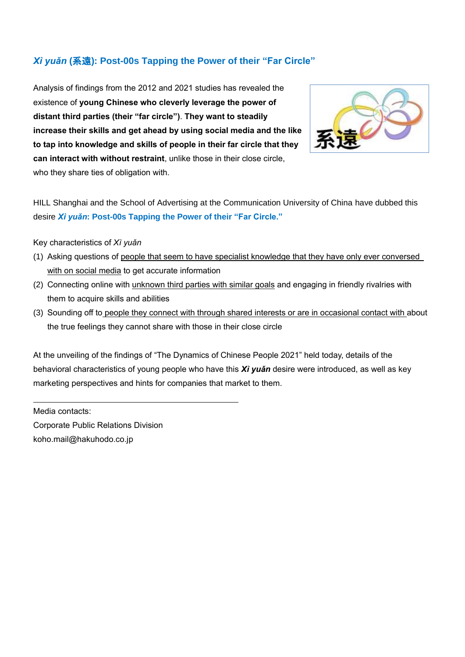# *Xì yuǎn* **(**系遠**): Post-00s Tapping the Power of their "Far Circle"**

Analysis of findings from the 2012 and 2021 studies has revealed the existence of **young Chinese who cleverly leverage the power of distant third parties (their "far circle")**. **They want to steadily increase their skills and get ahead by using social media and the like to tap into knowledge and skills of people in their far circle that they can interact with without restraint**, unlike those in their close circle, who they share ties of obligation with.



HILL Shanghai and the School of Advertising at the Communication University of China have dubbed this desire *Xì yuǎn***: Post-00s Tapping the Power of their "Far Circle."**

#### Key characteristics of *Xì yuǎn*

- (1) Asking questions of people that seem to have specialist knowledge that they have only ever conversed with on social media to get accurate information
- (2) Connecting online with unknown third parties with similar goals and engaging in friendly rivalries with them to acquire skills and abilities
- (3) Sounding off to people they connect with through shared interests or are in occasional contact with about the true feelings they cannot share with those in their close circle

At the unveiling of the findings of "The Dynamics of Chinese People 2021" held today, details of the behavioral characteristics of young people who have this *Xì yuǎn* desire were introduced, as well as key marketing perspectives and hints for companies that market to them.

Media contacts: Corporate Public Relations Division koho.mail@hakuhodo.co.jp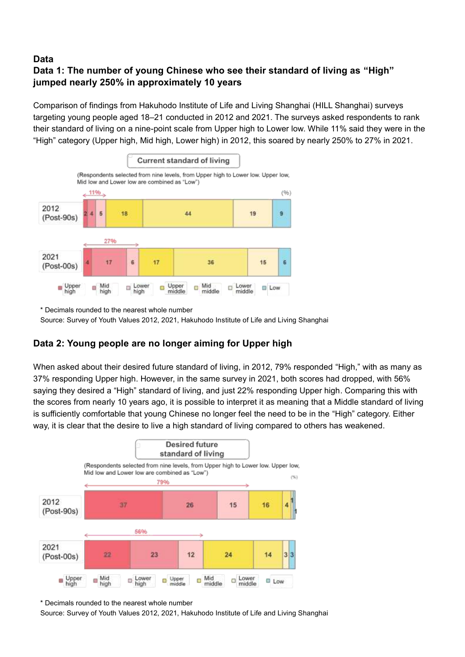## **Data**

# **Data 1: The number of young Chinese who see their standard of living as "High" jumped nearly 250% in approximately 10 years**

Comparison of findings from Hakuhodo Institute of Life and Living Shanghai (HILL Shanghai) surveys targeting young people aged 18–21 conducted in 2012 and 2021. The surveys asked respondents to rank their standard of living on a nine-point scale from Upper high to Lower low. While 11% said they were in the "High" category (Upper high, Mid high, Lower high) in 2012, this soared by nearly 250% to 27% in 2021.



\* Decimals rounded to the nearest whole number

Source: Survey of Youth Values 2012, 2021, Hakuhodo Institute of Life and Living Shanghai

## **Data 2: Young people are no longer aiming for Upper high**

When asked about their desired future standard of living, in 2012, 79% responded "High," with as many as 37% responding Upper high. However, in the same survey in 2021, both scores had dropped, with 56% saying they desired a "High" standard of living, and just 22% responding Upper high. Comparing this with the scores from nearly 10 years ago, it is possible to interpret it as meaning that a Middle standard of living is sufficiently comfortable that young Chinese no longer feel the need to be in the "High" category. Either way, it is clear that the desire to live a high standard of living compared to others has weakened.



\* Decimals rounded to the nearest whole number

Source: Survey of Youth Values 2012, 2021, Hakuhodo Institute of Life and Living Shanghai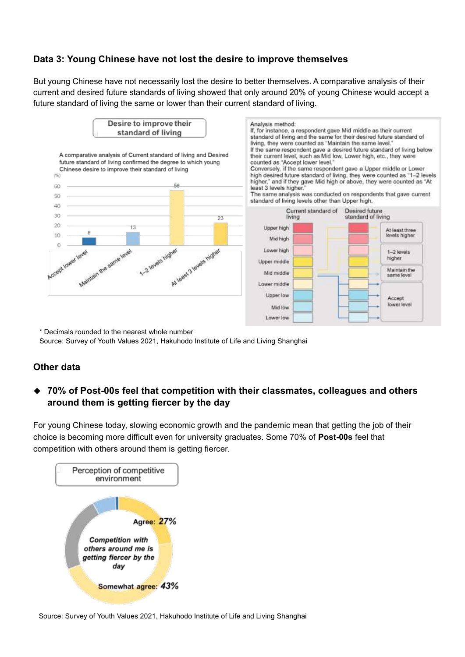## **Data 3: Young Chinese have not lost the desire to improve themselves**

But young Chinese have not necessarily lost the desire to better themselves. A comparative analysis of their current and desired future standards of living showed that only around 20% of young Chinese would accept a future standard of living the same or lower than their current standard of living.



\* Decimals rounded to the nearest whole number Source: Survey of Youth Values 2021, Hakuhodo Institute of Life and Living Shanghai

### **Other data**

## ◆ **70% of Post-00s feel that competition with their classmates, colleagues and others around them is getting fiercer by the day**

For young Chinese today, slowing economic growth and the pandemic mean that getting the job of their choice is becoming more difficult even for university graduates. Some 70% of **Post-00s** feel that competition with others around them is getting fiercer.



Source: Survey of Youth Values 2021, Hakuhodo Institute of Life and Living Shanghai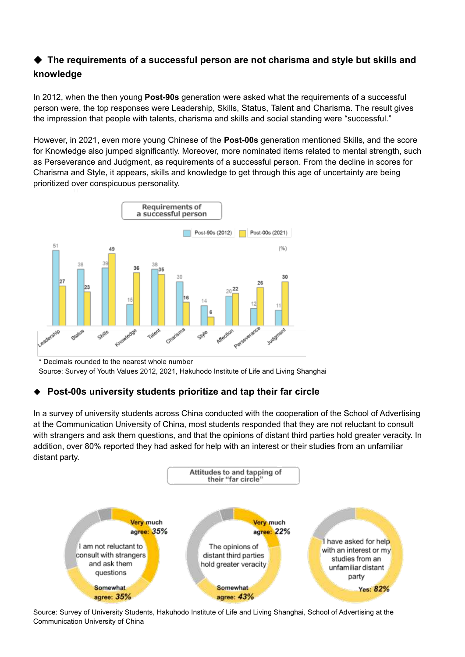# ◆ The requirements of a successful person are not charisma and style but skills and **knowledge**

In 2012, when the then young **Post-90s** generation were asked what the requirements of a successful person were, the top responses were Leadership, Skills, Status, Talent and Charisma. The result gives the impression that people with talents, charisma and skills and social standing were "successful."

However, in 2021, even more young Chinese of the **Post-00s** generation mentioned Skills, and the score for Knowledge also jumped significantly. Moreover, more nominated items related to mental strength, such as Perseverance and Judgment, as requirements of a successful person. From the decline in scores for Charisma and Style, it appears, skills and knowledge to get through this age of uncertainty are being prioritized over conspicuous personality.



\* Decimals rounded to the nearest whole number Source: Survey of Youth Values 2012, 2021, Hakuhodo Institute of Life and Living Shanghai

# **Post-00s university students prioritize and tap their far circle**

In a survey of university students across China conducted with the cooperation of the School of Advertising at the Communication University of China, most students responded that they are not reluctant to consult with strangers and ask them questions, and that the opinions of distant third parties hold greater veracity. In addition, over 80% reported they had asked for help with an interest or their studies from an unfamiliar distant party.



Source: Survey of University Students, Hakuhodo Institute of Life and Living Shanghai, School of Advertising at the Communication University of China